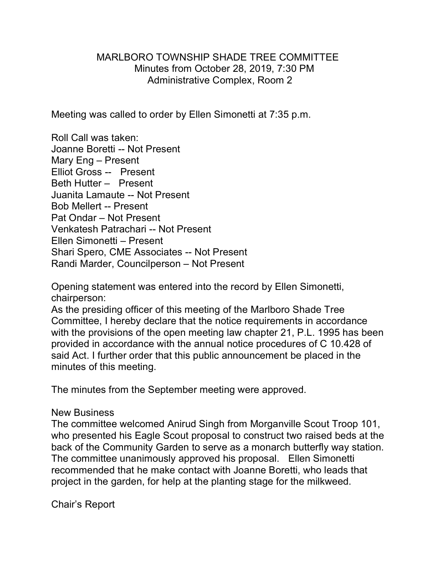## MARLBORO TOWNSHIP SHADE TREE COMMITTEE Minutes from October 28, 2019, 7:30 PM Administrative Complex, Room 2

Meeting was called to order by Ellen Simonetti at 7:35 p.m.

Roll Call was taken: Joanne Boretti -- Not Present Mary Eng – Present Elliot Gross -- Present Beth Hutter – Present Juanita Lamaute -- Not Present Bob Mellert -- Present Pat Ondar – Not Present Venkatesh Patrachari -- Not Present Ellen Simonetti – Present Shari Spero, CME Associates -- Not Present Randi Marder, Councilperson – Not Present

Opening statement was entered into the record by Ellen Simonetti, chairperson:

As the presiding officer of this meeting of the Marlboro Shade Tree Committee, I hereby declare that the notice requirements in accordance with the provisions of the open meeting law chapter 21, P.L. 1995 has been provided in accordance with the annual notice procedures of C 10.428 of said Act. I further order that this public announcement be placed in the minutes of this meeting.

The minutes from the September meeting were approved.

## New Business

The committee welcomed Anirud Singh from Morganville Scout Troop 101, who presented his Eagle Scout proposal to construct two raised beds at the back of the Community Garden to serve as a monarch butterfly way station. The committee unanimously approved his proposal. Ellen Simonetti recommended that he make contact with Joanne Boretti, who leads that project in the garden, for help at the planting stage for the milkweed.

Chair's Report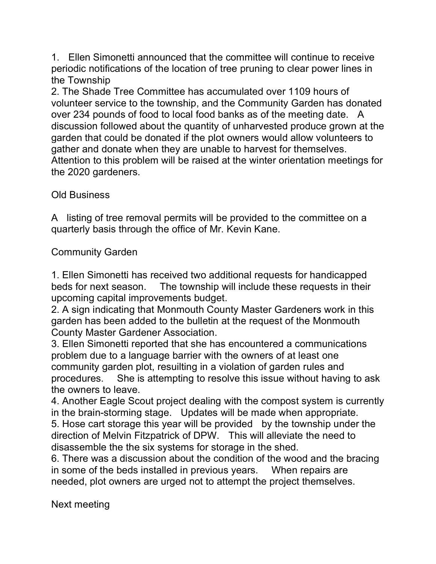1. Ellen Simonetti announced that the committee will continue to receive periodic notifications of the location of tree pruning to clear power lines in the Township

2. The Shade Tree Committee has accumulated over 1109 hours of volunteer service to the township, and the Community Garden has donated over 234 pounds of food to local food banks as of the meeting date. A discussion followed about the quantity of unharvested produce grown at the garden that could be donated if the plot owners would allow volunteers to gather and donate when they are unable to harvest for themselves. Attention to this problem will be raised at the winter orientation meetings for the 2020 gardeners.

Old Business

A listing of tree removal permits will be provided to the committee on a quarterly basis through the office of Mr. Kevin Kane.

Community Garden

1. Ellen Simonetti has received two additional requests for handicapped beds for next season. The township will include these requests in their upcoming capital improvements budget.

2. A sign indicating that Monmouth County Master Gardeners work in this garden has been added to the bulletin at the request of the Monmouth County Master Gardener Association.

3. Ellen Simonetti reported that she has encountered a communications problem due to a language barrier with the owners of at least one community garden plot, resuilting in a violation of garden rules and procedures. She is attempting to resolve this issue without having to ask the owners to leave.

4. Another Eagle Scout project dealing with the compost system is currently in the brain-storming stage. Updates will be made when appropriate. 5. Hose cart storage this year will be provided by the township under the direction of Melvin Fitzpatrick of DPW. This will alleviate the need to disassemble the the six systems for storage in the shed.

6. There was a discussion about the condition of the wood and the bracing in some of the beds installed in previous years. When repairs are needed, plot owners are urged not to attempt the project themselves.

Next meeting